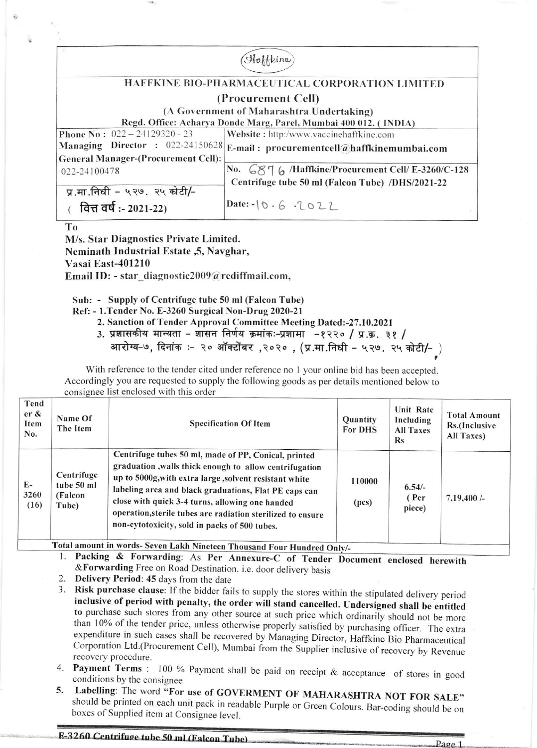|                                                                                | Heine                                             |  |  |  |
|--------------------------------------------------------------------------------|---------------------------------------------------|--|--|--|
|                                                                                |                                                   |  |  |  |
| HAFFKINE BIO-PHARMACEUTICAL CORPORATION LIMITED                                |                                                   |  |  |  |
| (Procurement Cell)<br>(A Government of Maharashtra Undertaking)                |                                                   |  |  |  |
| Regd. Office: Acharya Donde Marg, Parel, Mumbai 400 012. (INDIA)               |                                                   |  |  |  |
| <b>Phone No:</b> $022 - 24129320 - 23$                                         | Website: http:/www.vaccinehaffkine.com            |  |  |  |
| Managing Director : 022-24150628<br><b>General Manager-(Procurement Cell):</b> | E-mail: procurementcell@haffkinemumbai.com        |  |  |  |
| 022-24100478                                                                   | No. 6876 /Haffkine/Procurement Cell/ E-3260/C-128 |  |  |  |
| प्र.मा.निधी - ५२७. २५ कोटी/-                                                   | Centrifuge tube 50 ml (Falcon Tube) /DHS/2021-22  |  |  |  |
| वित्त वर्ष :- 2021-22)                                                         | $Date: -10.6.2022$                                |  |  |  |

T<sub>o</sub>

M/s. Star Diagnostics Private Limited. Neminath Industrial Estate , 5, Navghar, Vasai East-401210 Email ID: - star diagnostic2009@rediffmail.com,

Sub: - Supply of Centrifuge tube 50 ml (Falcon Tube)

Ref: - 1. Tender No. E-3260 Surgical Non-Drug 2020-21

2. Sanction of Tender Approval Committee Meeting Dated:-27.10.2021

3. प्रशासकीय मान्यता - शासन निर्णय क्रमांकः-प्रशामा -१२२० / प्र.क्र. ३१ /

आरोग्य-७, दिनांक :- २० ऑक्टोंबर ,२०२० , (प्र.मा.निधी - ५२७. २५ कोटी/- )

With reference to the tender cited under reference no 1 your online bid has been accepted. Accordingly you are requested to supply the following goods as per details mentioned below to consignee list enclosed with this order

| Tend<br>$er \&$<br>Item<br>No.                                      | Name Of<br>The Item                          | <b>Specification Of Item</b>                                                                                                                                                                                                                                                                                                                                                                         | Quantity<br><b>For DHS</b> | <b>Unit Rate</b><br>Including<br><b>All Taxes</b><br><b>Rs</b> | <b>Total Amount</b><br>Rs.(Inclusive<br>All Taxes) |
|---------------------------------------------------------------------|----------------------------------------------|------------------------------------------------------------------------------------------------------------------------------------------------------------------------------------------------------------------------------------------------------------------------------------------------------------------------------------------------------------------------------------------------------|----------------------------|----------------------------------------------------------------|----------------------------------------------------|
| $E-$<br>3260<br>(16)                                                | Centrifuge<br>tube 50 ml<br>(Falcon<br>Tube) | Centrifuge tubes 50 ml, made of PP, Conical, printed<br>graduation, walls thick enough to allow centrifugation<br>up to 5000g, with extra large, solvent resistant white<br>labeling area and black graduations, Flat PE caps can<br>close with quick 3-4 turns, allowing one handed<br>operation, sterile tubes are radiation sterilized to ensure<br>non-cytotoxicity, sold in packs of 500 tubes. | 110000<br>(pcs)            | $6.54/-$<br>(Per<br>piece)                                     | 7,19,400/                                          |
| Total amount in words-Seven Lakh Ningteen Thousand Four Hundred Oak |                                              |                                                                                                                                                                                                                                                                                                                                                                                                      |                            |                                                                |                                                    |

**Inousand Four Hundred Only/-**

Packing & Forwarding: As Per Annexure-C of Tender Document enclosed herewith 1. & Forwarding Free on Road Destination. i.e. door delivery basis

- 2. Delivery Period: 45 days from the date
- 3. Risk purchase clause: If the bidder fails to supply the stores within the stipulated delivery period inclusive of period with penalty, the order will stand cancelled. Undersigned shall be entitled to purchase such stores from any other source at such price which ordinarily should not be more than 10% of the tender price, unless otherwise properly satisfied by purchasing officer. The extra expenditure in such cases shall be recovered by Managing Director, Haffkine Bio Pharmaceutical Corporation Ltd.(Procurement Cell), Mumbai from the Supplier inclusive of recovery by Revenue recovery procedure.
- 4. Payment Terms : 100 % Payment shall be paid on receipt & acceptance of stores in good conditions by the consignee
- Labelling: The word "For use of GOVERMENT OF MAHARASHTRA NOT FOR SALE" 5. should be printed on each unit pack in readable Purple or Green Colours. Bar-coding should be on boxes of Supplied item at Consignee level.